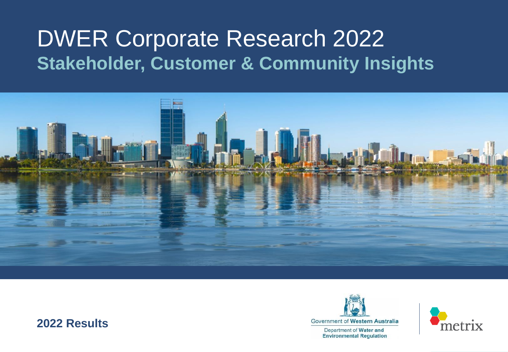# DWER Corporate Research 2022 **Stakeholder, Customer & Community Insights**



### **2022 Results**



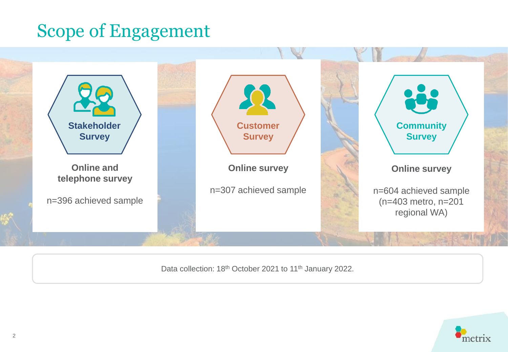### Scope of Engagement



Data collection: 18<sup>th</sup> October 2021 to 11<sup>th</sup> January 2022.

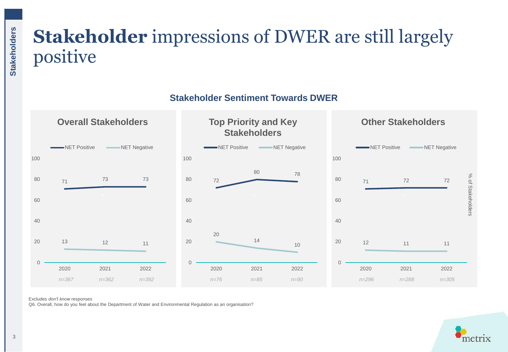## **Stakeholder** impressions of DWER are still largely positive

**Stakeholder Sentiment Towards DWER** 



Excludes *don't know* responses

Q6. Overall, how do you feel about the Department of Water and Environmental Regulation as an organisation?

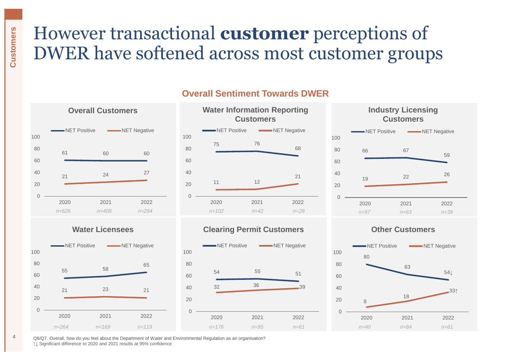### However transactional **customer** perceptions of DWER have softened across most customer groups

**Overall Customers Water Information Reporting** 





### **Overall Sentiment Towards DWER**





#### **Water Licensees Clearing Permit Customers Other Customers**





4 Q6/Q7. Overall, how do you feel about the Department of Water and Environmental Regulation as an organisation? ↑**↓** Significant difference to 2020 and 2021 results at 95% confidence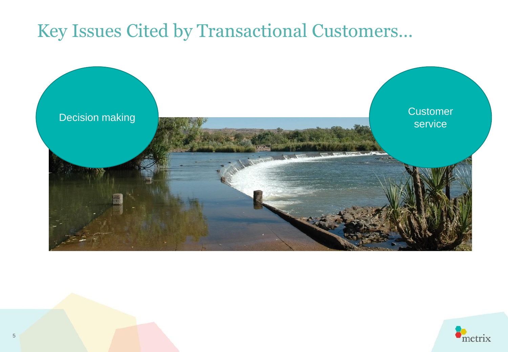### Key Issues Cited by Transactional Customers…



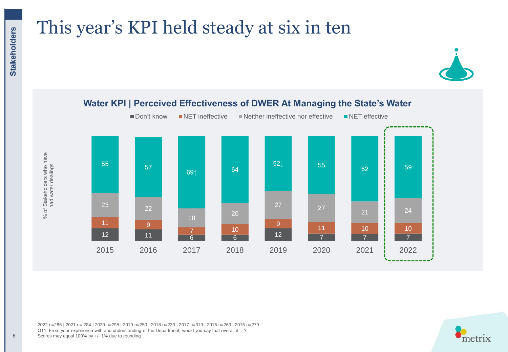## This year's KPI held steady at six in ten



#### 7 **7 P** 7  $\frac{1}{6}$  6  $\frac{1}{2}$  12 12 11 11 10 **1** 10 9  $\begin{array}{c|c}\n7 & 10 \\
6 & 6\n\end{array}$ 9 11  $27$  27 21  $\frac{1}{2}$  24 18 20 23  $\overline{22}$ 52↓ 55 62 <mark>5</mark> 59 64 69↑ 55 | 57 2015 2016 2017 2018 2019 2020 2021 2022 ■ Don't know ■ NET ineffective ■ Neither ineffective nor effective ■ NET effective

**Water KPI | Perceived Effectiveness of DWER At Managing the State's Water**

% of Stakeholders who have<br>had water dealings % of Stakeholders who have had water dealings

2022 n=286 | 2021 n= 284 | 2020 n=298 | 2019 n=250 | 2018 n=233 | 2017 n=319 | 2016 n=263 | 2015 n=279 Q11. From your experience with and understanding of the Department, would you say that overall it ...? Scores may equal 100% by +/- 1% due to rounding

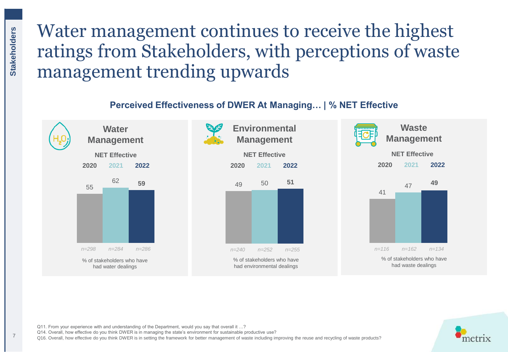### Water management continues to receive the highest ratings from Stakeholders, with perceptions of waste management trending upwards

### **Perceived Effectiveness of DWER At Managing… | % NET Effective**







% of stakeholders who have had environmental dealings



**Waste Management** 



Q11. From your experience with and understanding of the Department, would you say that overall it ...?

Q14. Overall, how effective do you think DWER is in managing the state's environment for sustainable productive use?

Q16. Overall, how effective do you think DWER is in setting the framework for better management of waste including improving the reuse and recycling of waste products?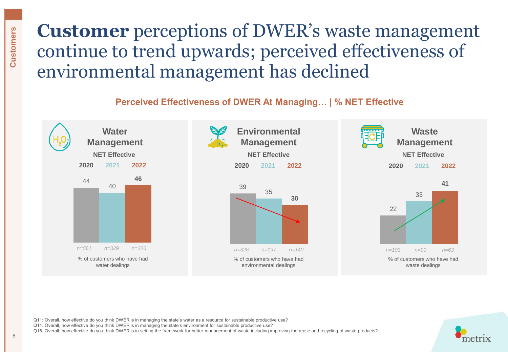### **Customer** perceptions of DWER's waste management continue to trend upwards; perceived effectiveness of environmental management has declined

### **Perceived Effectiveness of DWER At Managing… | % NET Effective**



Q11: Overall, how effective do you think DWER is in managing the state's water as a resource for sustainable productive use?

Q14. Overall, how effective do you think DWER is in managing the state's environment for sustainable productive use?

Q16. Overall, how effective do you think DWER is in setting the framework for better management of waste including improving the reuse and recycling of waste products?

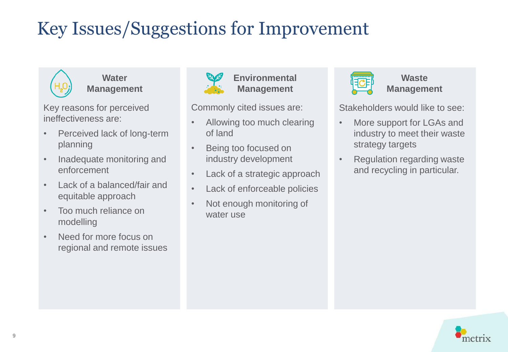# Key Issues/Suggestions for Improvement



**Water Management** 

Key reasons for perceived ineffectiveness are:

- Perceived lack of long-term planning
- Inadequate monitoring and enforcement
- Lack of a balanced/fair and equitable approach
- Too much reliance on modelling
- Need for more focus on regional and remote issues



**Environmental Management**

Commonly cited issues are:

- Allowing too much clearing of land
- Being too focused on industry development
- Lack of a strategic approach
- Lack of enforceable policies
- Not enough monitoring of water use



**Waste Management** 

Stakeholders would like to see:

- More support for LGAs and industry to meet their waste strategy targets
- Regulation regarding waste and recycling in particular.

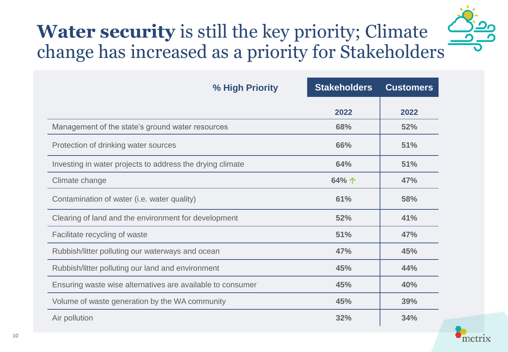# **Water security** is still the key priority; Climate change has increased as a priority for Stakeholders

| % High Priority                                            | <b>Stakeholders</b> | <b>Customers</b> |
|------------------------------------------------------------|---------------------|------------------|
|                                                            | 2022                | 2022             |
| Management of the state's ground water resources           | 68%                 | 52%              |
| Protection of drinking water sources                       | 66%                 | 51%              |
| Investing in water projects to address the drying climate  | 64%                 | 51%              |
| Climate change                                             | 64%个                | 47%              |
| Contamination of water (i.e. water quality)                | 61%                 | 58%              |
| Clearing of land and the environment for development       | 52%                 | 41%              |
| Facilitate recycling of waste                              | 51%                 | 47%              |
| Rubbish/litter polluting our waterways and ocean           | 47%                 | 45%              |
| Rubbish/litter polluting our land and environment          | 45%                 | 44%              |
| Ensuring waste wise alternatives are available to consumer | 45%                 | 40%              |
| Volume of waste generation by the WA community             | 45%                 | 39%              |
| Air pollution                                              | 32%                 | 34%              |

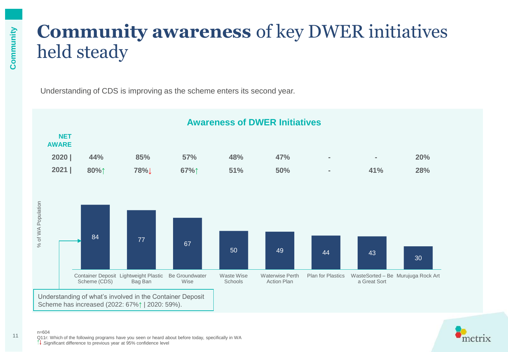### **Community awareness** of key DWER initiatives held steady

Understanding of CDS is improving as the scheme enters its second year.





 $n=604$ Q11r: Which of the following programs have you seen or heard about before today, specifically in WA Significant difference to previous year at 95% confidence level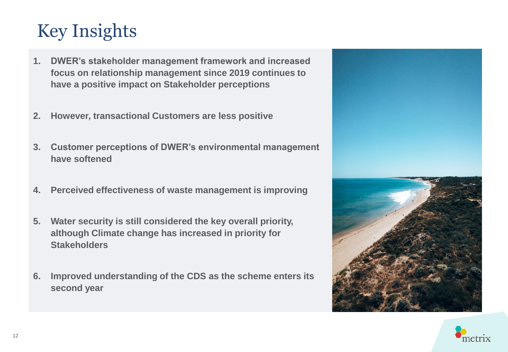## Key Insights

- **1. DWER's stakeholder management framework and increased focus on relationship management since 2019 continues to have a positive impact on Stakeholder perceptions**
- **2. However, transactional Customers are less positive**
- **3. Customer perceptions of DWER's environmental management have softened**
- **4. Perceived effectiveness of waste management is improving**
- **5. Water security is still considered the key overall priority, although Climate change has increased in priority for Stakeholders**
- **6. Improved understanding of the CDS as the scheme enters its second year**